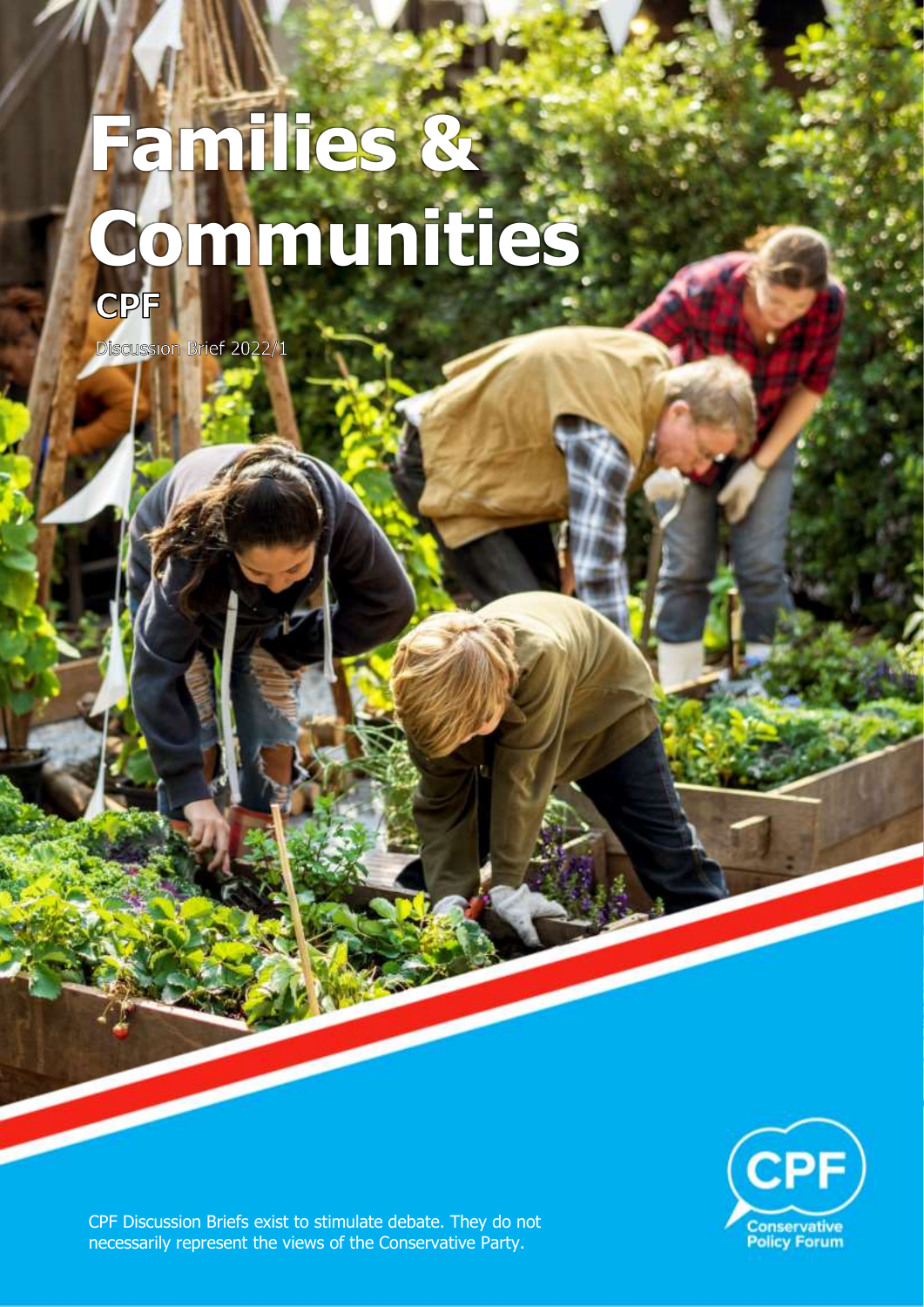# **Families & Communities**



Discussion Brief 2022/1



CPF Discussion Briefs exist to stimulate debate. They do not necessarily represent the views of the Conservative Party.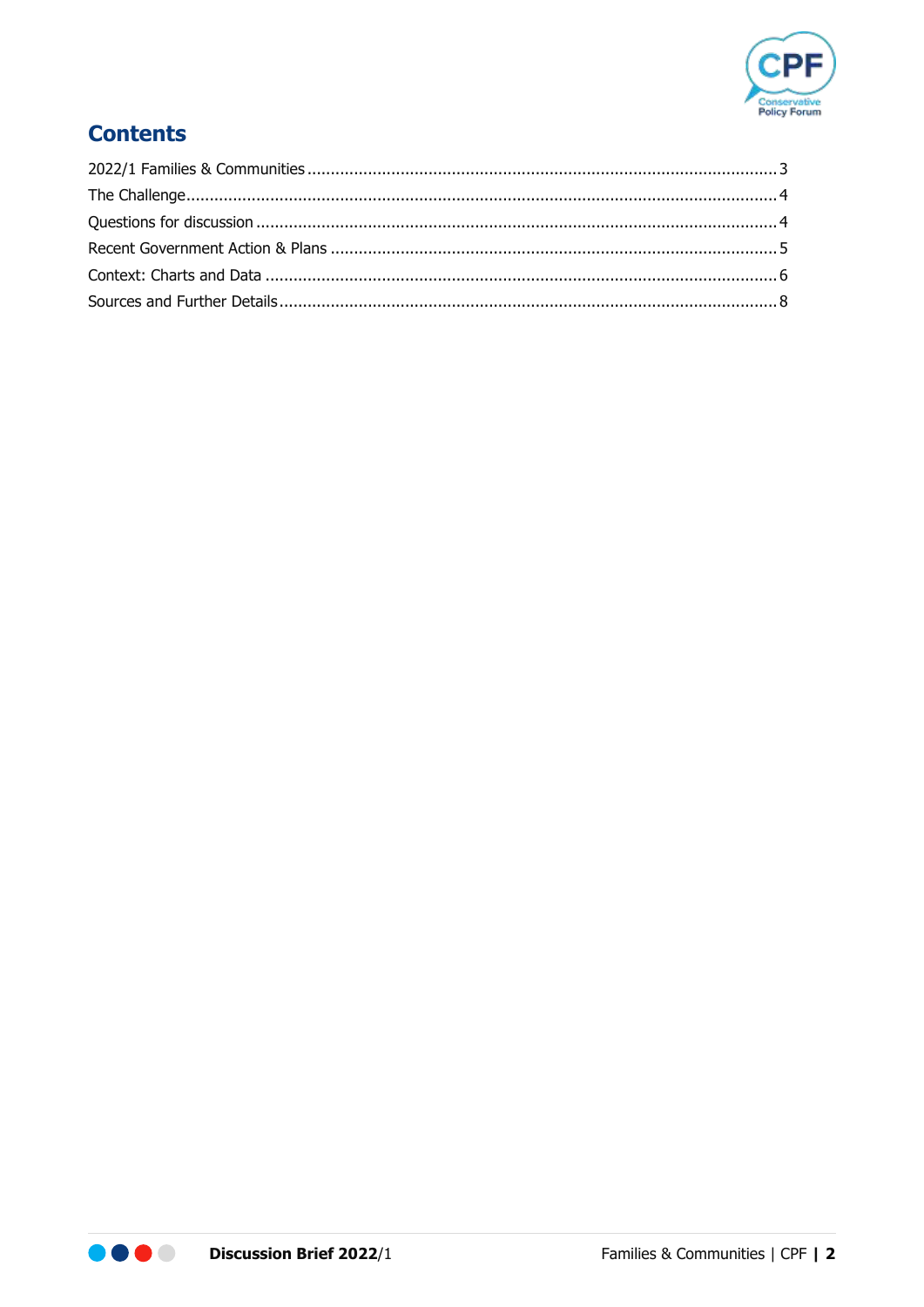

# **Contents**

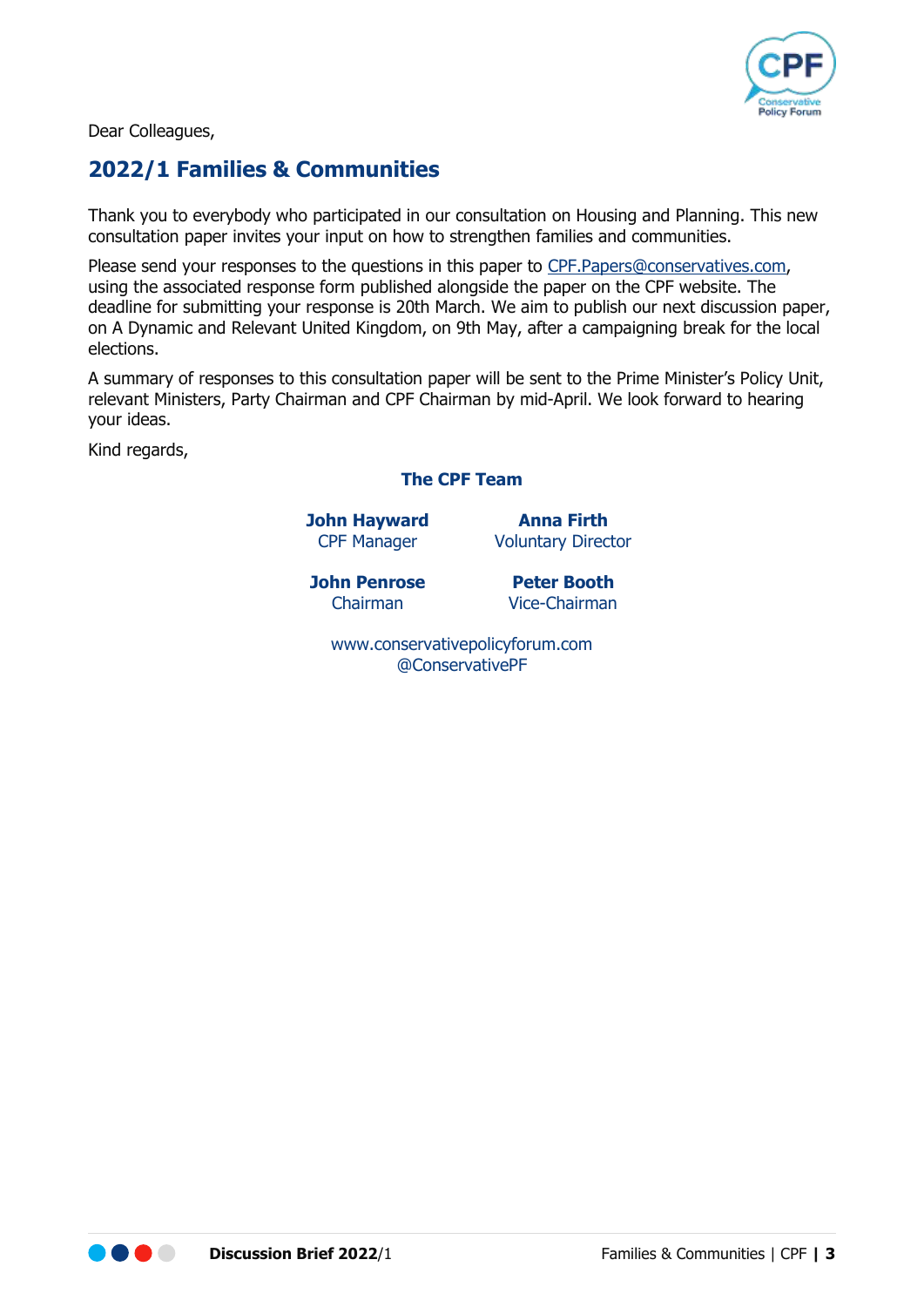

Dear Colleagues,

## <span id="page-2-0"></span>**2022/1 Families & Communities**

Thank you to everybody who participated in our consultation on Housing and Planning. This new consultation paper invites your input on how to strengthen families and communities.

Please send your responses to the questions in this paper to [CPF.Papers@conservatives.com,](mailto:CPF.Papers@conservatives.com) using the associated response form published alongside the paper on the CPF website. The deadline for submitting your response is 20th March. We aim to publish our next discussion paper, on A Dynamic and Relevant United Kingdom, on 9th May, after a campaigning break for the local elections.

A summary of responses to this consultation paper will be sent to the Prime Minister's Policy Unit, relevant Ministers, Party Chairman and CPF Chairman by mid-April. We look forward to hearing your ideas.

Kind regards,

#### **The CPF Team**

**John Hayward Anna Firth**

CPF Manager Voluntary Director

**John Penrose Peter Booth**

Chairman Vice-Chairman

[www.conservativepolicyforum.com](http://www.conservativepolicyforum.com/) [@ConservativePF](https://twitter.com/ConservativePF)

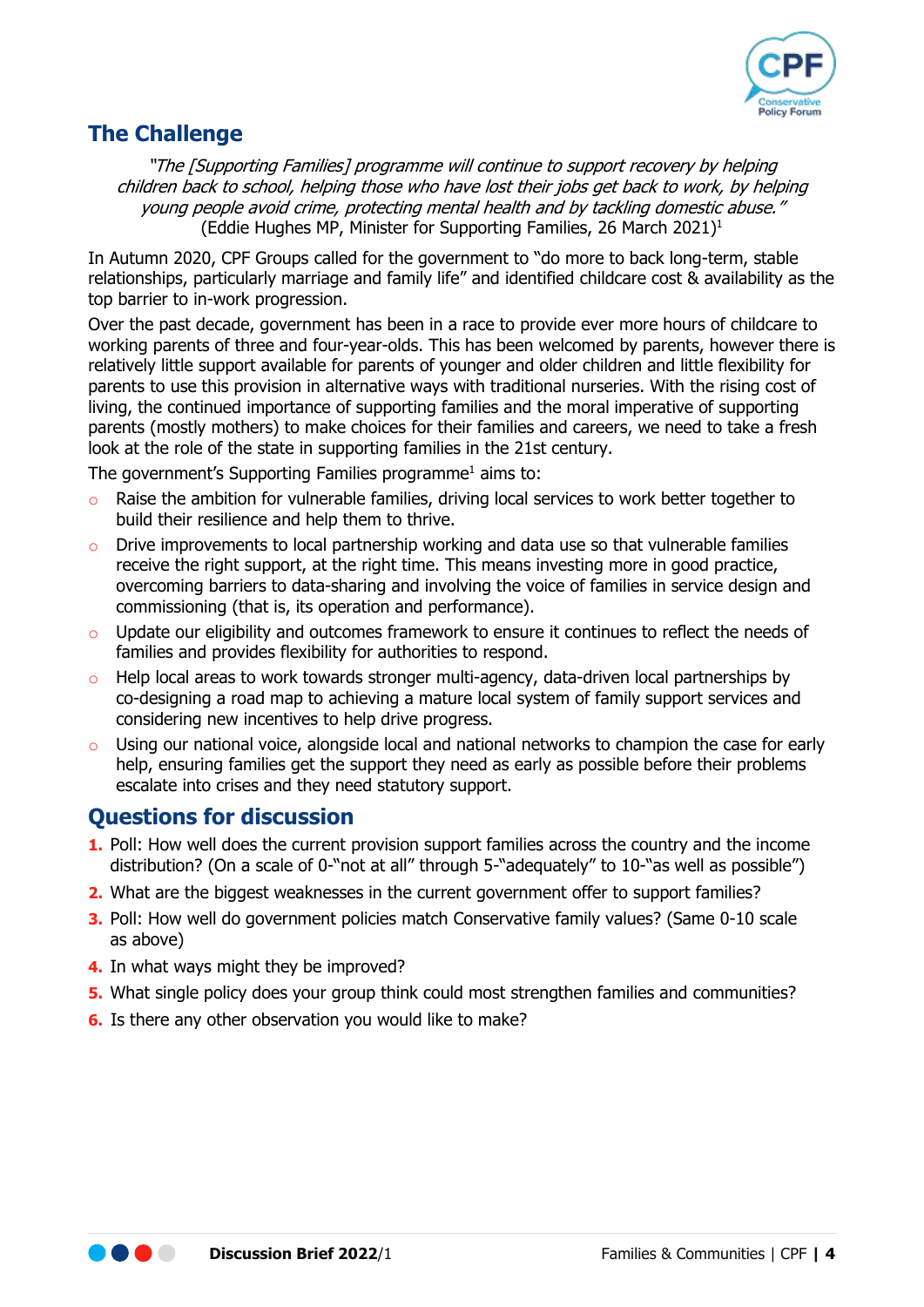<span id="page-3-2"></span>

#### <span id="page-3-0"></span>**The Challenge**

"The [Supporting Families] programme will continue to support recovery by helping children back to school, helping those who have lost their jobs get back to work, by helping young people avoid crime, protecting mental health and by tackling domestic abuse." (Eddie Hughes MP, Minister for Supporting Families, 26 March 2021) 1

In Autumn 2020, CPF Groups called for the government to "do more to back long-term, stable relationships, particularly marriage and family life" and identified childcare cost & availability as the top barrier to in-work progression.

Over the past decade, government has been in a race to provide ever more hours of childcare to working parents of three and four-year-olds. This has been welcomed by parents, however there is relatively little support available for parents of younger and older children and little flexibility for parents to use this provision in alternative ways with traditional nurseries. With the rising cost of living, the continued importance of supporting families and the moral imperative of supporting parents (mostly mothers) to make choices for their families and careers, we need to take a fresh look at the role of the state in supporting families in the 21st century.

The government's Supporting Families programme<sup>[1](#page-3-2)</sup> aims to:

- o Raise the ambition for vulnerable families, driving local services to work better together to build their resilience and help them to thrive.
- $\circ$  Drive improvements to local partnership working and data use so that vulnerable families receive the right support, at the right time. This means investing more in good practice, overcoming barriers to data-sharing and involving the voice of families in service design and commissioning (that is, its operation and performance).
- o Update our eligibility and outcomes framework to ensure it continues to reflect the needs of families and provides flexibility for authorities to respond.
- o Help local areas to work towards stronger multi-agency, data-driven local partnerships by co-designing a road map to achieving a mature local system of family support services and considering new incentives to help drive progress.
- o Using our national voice, alongside local and national networks to champion the case for early help, ensuring families get the support they need as early as possible before their problems escalate into crises and they need statutory support.

## <span id="page-3-1"></span>**Questions for discussion**

- **1.** Poll: How well does the current provision support families across the country and the income distribution? (On a scale of 0-"not at all" through 5-"adequately" to 10-"as well as possible")
- **2.** What are the biggest weaknesses in the current government offer to support families?
- **3.** Poll: How well do government policies match Conservative family values? (Same 0-10 scale as above)
- **4.** In what ways might they be improved?
- **5.** What single policy does your group think could most strengthen families and communities?
- **6.** Is there any other observation you would like to make?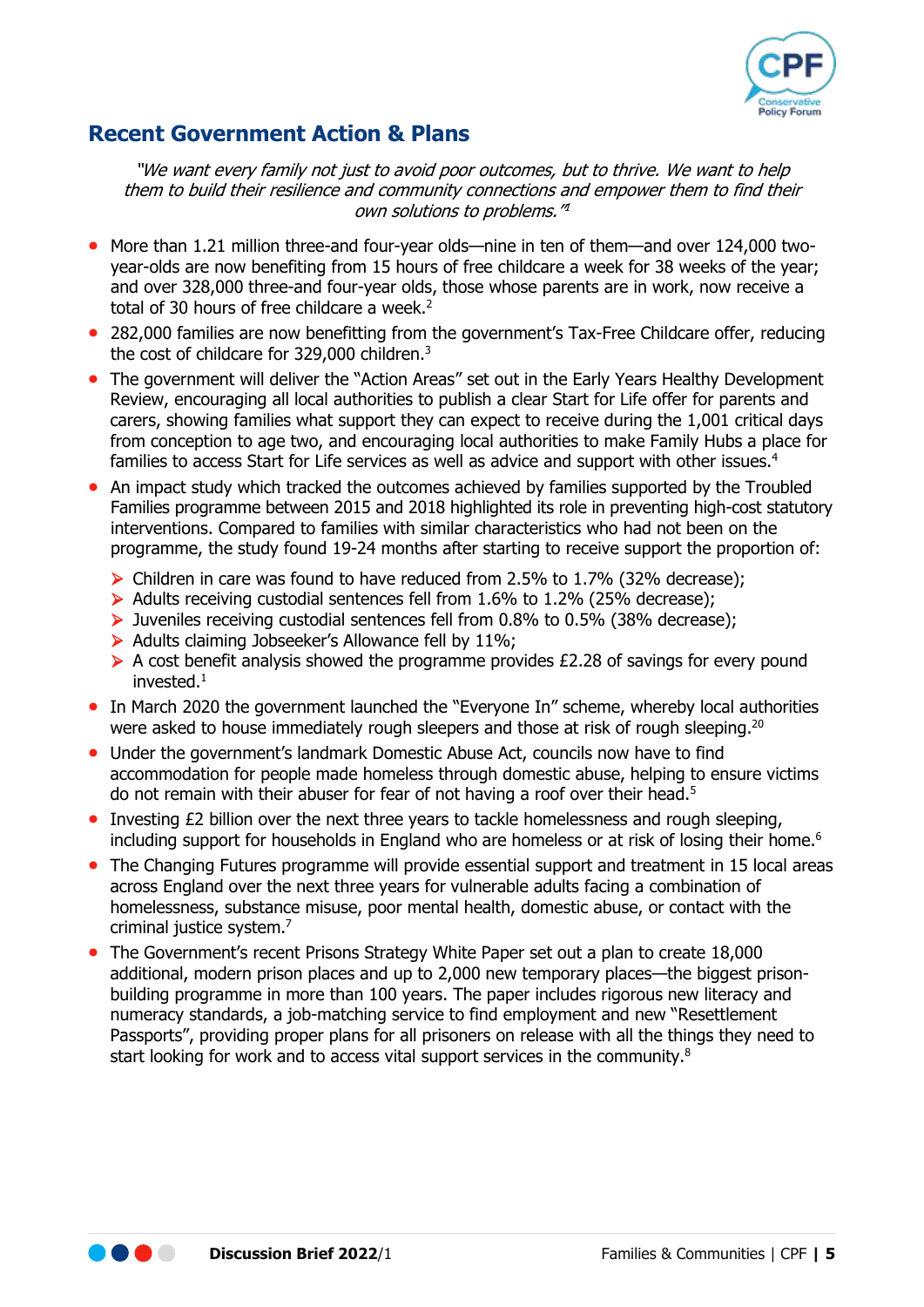

#### <span id="page-4-0"></span>**Recent Government Action & Plans**

"We want every family not just to avoid poor outcomes, but to thrive. We want to help them to build their resilience and community connections and empower them to find their own solutions to problems.["](#page-3-2) 1

- More than 1.21 million three-and four-year olds—nine in ten of them—and over 124,000 twoyear-olds are now benefiting from 15 hours of free childcare a week for 38 weeks of the year; and over 328,000 three-and four-year olds, those whose parents are in work, now receive a total of 30 hours of free childcare a week.<sup>2</sup>
- 282,000 families are now benefitting from the government's Tax-Free Childcare offer, reducing the cost of childcare for 329,000 children.<sup>3</sup>
- The government will deliver the "Action Areas" set out in the Early Years Healthy Development Review, encouraging all local authorities to publish a clear Start for Life offer for parents and carers, showing families what support they can expect to receive during the 1,001 critical days from conception to age two, and encouraging local authorities to make Family Hubs a place for families to access Start for Life services as well as advice and support with other issues.<sup>4</sup>
- An impact study which tracked the outcomes achieved by families supported by the Troubled Families programme between 2015 and 2018 highlighted its role in preventing high-cost statutory interventions. Compared to families with similar characteristics who had not been on the programme, the study found 19-24 months after starting to receive support the proportion of:
	- $\triangleright$  Children in care was found to have reduced from 2.5% to 1.7% (32% decrease);
	- ➢ Adults receiving custodial sentences fell from 1.6% to 1.2% (25% decrease);
	- ➢ Juveniles receiving custodial sentences fell from 0.8% to 0.5% (38% decrease);
	- $\triangleright$  Adults claiming Jobseeker's Allowance fell by 11%;
	- ➢ A cost benefit analysis showed the programme provides £2.28 of savings for every pound invested[.](#page-3-2)<sup>1</sup>
- In March 2020 the government launched the "Everyone In" scheme, whereby local authorities were asked to house immediately rough sleepers and those at risk of rough sleeping.<sup>[20](#page-6-0)</sup>
- Under the government's landmark Domestic Abuse Act, councils now have to find accommodation for people made homeless through domestic abuse, helping to ensure victims do not remain with their abuser for fear of not having a roof over their head.<sup>5</sup>
- Investing £2 billion over the next three years to tackle homelessness and rough sleeping, including support for households in England who are homeless or at risk of losing their home.<sup>6</sup>
- The Changing Futures programme will provide essential support and treatment in 15 local areas across England over the next three years for vulnerable adults facing a combination of homelessness, substance misuse, poor mental health, domestic abuse, or contact with the criminal justice system.<sup>7</sup>
- The Government's recent Prisons Strategy White Paper set out a plan to create 18,000 additional, modern prison places and up to 2,000 new temporary places—the biggest prisonbuilding programme in more than 100 years. The paper includes rigorous new literacy and numeracy standards, a job-matching service to find employment and new "Resettlement Passports", providing proper plans for all prisoners on release with all the things they need to start looking for work and to access vital support services in the community.<sup>8</sup>

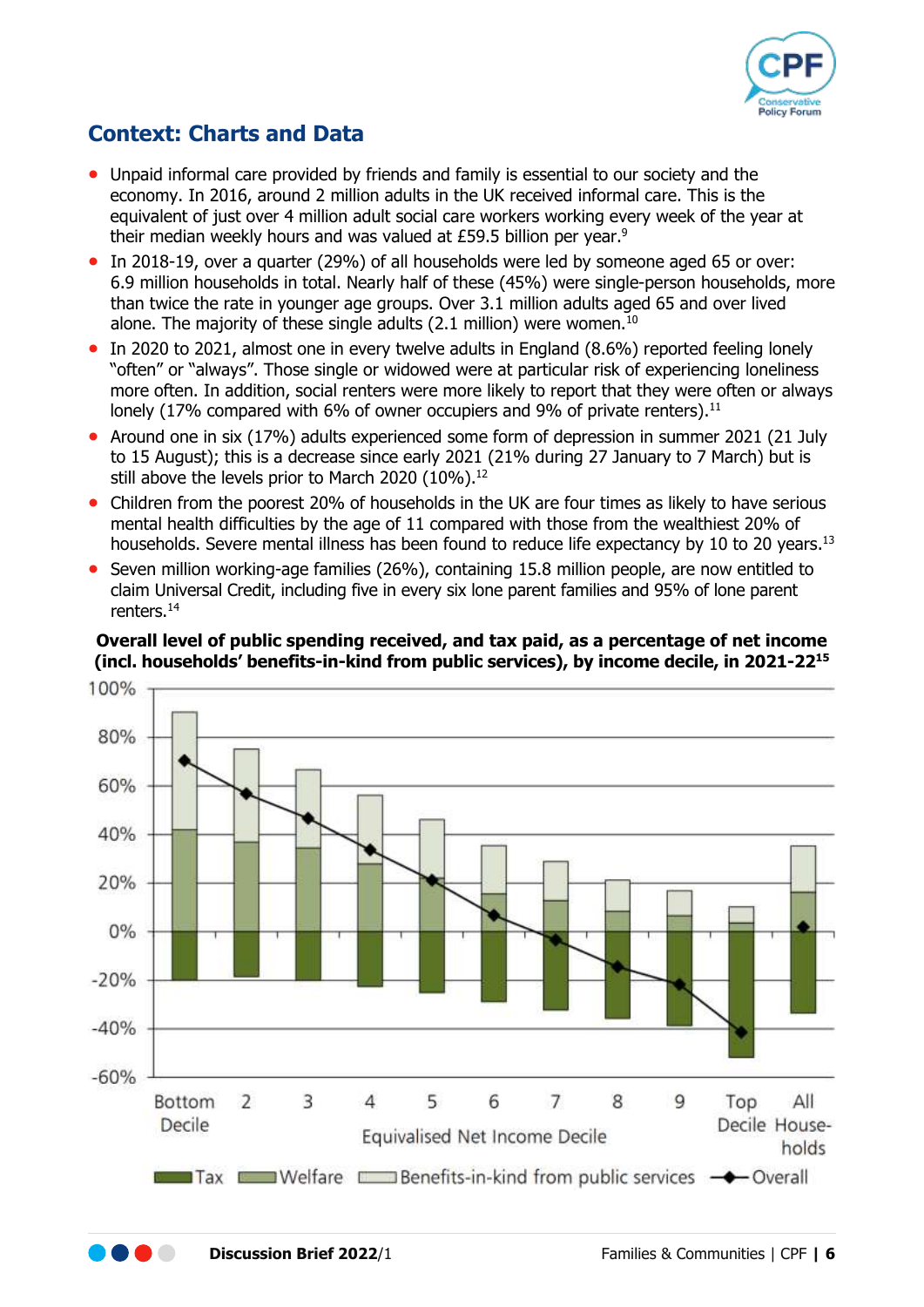

# <span id="page-5-0"></span>**Context: Charts and Data**

- Unpaid informal care provided by friends and family is essential to our society and the economy. In 2016, around 2 million adults in the UK received informal care. This is the equivalent of just over 4 million adult social care workers working every week of the year at their median weekly hours and was valued at £59.5 billion per year.<sup>9</sup>
- In 2018-19, over a quarter (29%) of all households were led by someone aged 65 or over: 6.9 million households in total. Nearly half of these (45%) were single-person households, more than twice the rate in younger age groups. Over 3.1 million adults aged 65 and over lived alone. The majority of these single adults  $(2.1 \text{ million})$  were women.<sup>10</sup>
- In 2020 to 2021, almost one in every twelve adults in England (8.6%) reported feeling lonely "often" or "always". Those single or widowed were at particular risk of experiencing loneliness more often. In addition, social renters were more likely to report that they were often or always lonely (17% compared with 6% of owner occupiers and 9% of private renters).<sup>11</sup>
- Around one in six (17%) adults experienced some form of depression in summer 2021 (21 July to 15 August); this is a decrease since early 2021 (21% during 27 January to 7 March) but is still above the levels prior to March 2020 (10%).<sup>12</sup>
- Children from the poorest 20% of households in the UK are four times as likely to have serious mental health difficulties by the age of 11 compared with those from the wealthiest 20% of households. Severe mental illness has been found to reduce life expectancy by 10 to 20 years.<sup>13</sup>
- Seven million working-age families (26%), containing 15.8 million people, are now entitled to claim Universal Credit, including five in every six lone parent families and 95% of lone parent renters.<sup>14</sup>

**Overall level of public spending received, and tax paid, as a percentage of net income (incl. households' benefits-in-kind from public services), by income decile, in 2021-22<sup>15</sup>**

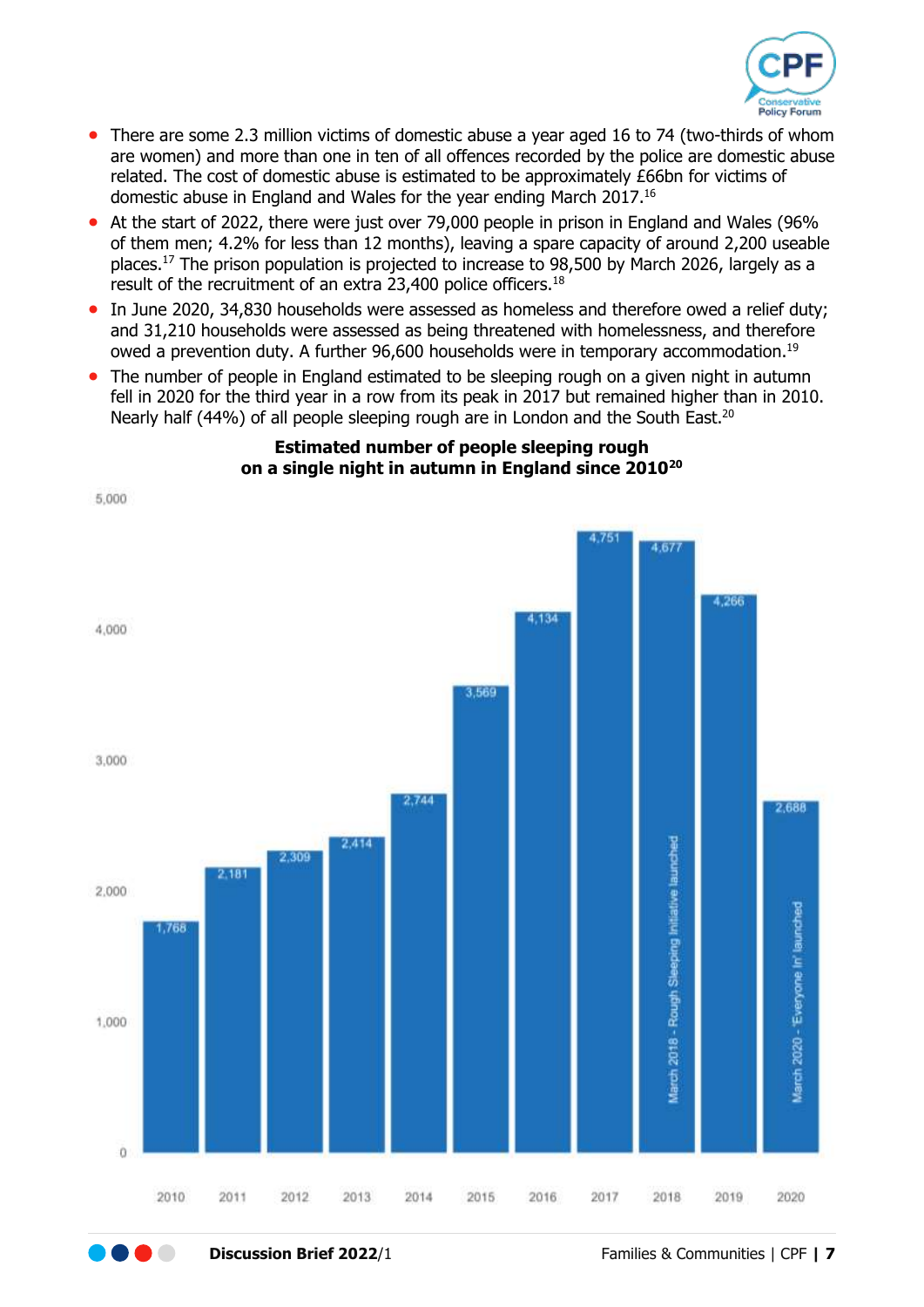<span id="page-6-0"></span>

- There are some 2.3 million victims of domestic abuse a year aged 16 to 74 (two-thirds of whom are women) and more than one in ten of all offences recorded by the police are domestic abuse related. The cost of domestic abuse is estimated to be approximately £66bn for victims of domestic abuse in England and Wales for the year ending March 2017.<sup>16</sup>
- At the start of 2022, there were just over 79,000 people in prison in England and Wales (96% of them men; 4.2% for less than 12 months), leaving a spare capacity of around 2,200 useable places.<sup>17</sup> The prison population is projected to increase to 98,500 by March 2026, largely as a result of the recruitment of an extra 23,400 police officers.<sup>18</sup>
- In June 2020, 34,830 households were assessed as homeless and therefore owed a relief duty; and 31,210 households were assessed as being threatened with homelessness, and therefore owed a prevention duty. A further 96,600 households were in temporary accommodation.<sup>19</sup>
- The number of people in England estimated to be sleeping rough on a given night in autumn fell in 2020 for the third year in a row from its peak in 2017 but remained higher than in 2010. Nearly half (44%) of all people sleeping rough are in London and the South East.<sup>20</sup>



#### **Estimated number of people sleeping rough on a single night in autumn in England since 2010[20](#page-6-0)**